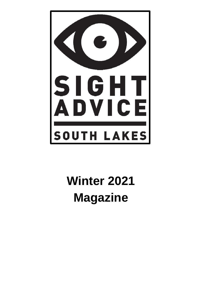

# **Winter 2021 Magazine**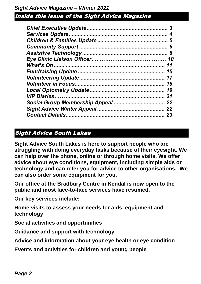| 5  |
|----|
| 6  |
| 8  |
| 10 |
| 11 |
| 15 |
| 17 |
| 18 |
| 19 |
| 21 |
|    |
| 22 |
| 23 |

### Sight Advice South Lakes

**Sight Advice South Lakes is here to support people who are struggling with doing everyday tasks because of their eyesight. We can help over the phone, online or through home visits. We offer advice about eye conditions, equipment, including simple aids or technology and can refer you for advice to other organisations. We can also order some equipment for you.**

**Our office at the Bradbury Centre in Kendal is now open to the public and most face-to-face services have resumed.**

**Our key services include:**

**Home visits to assess your needs for aids, equipment and technology**

**Social activities and opportunities**

**Guidance and support with technology**

**Advice and information about your eye health or eye condition**

**Events and activities for children and young people**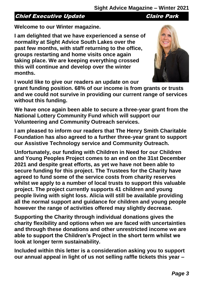### Chief Executive Update Chief Park

**Welcome to our Winter magazine.** 

**I am delighted that we have experienced a sense of normality at Sight Advice South Lakes over the past few months, with staff returning to the office, groups restarting and home visits once again taking place. We are keeping everything crossed this will continue and develop over the winter months.**

**I would like to give our readers an update on our** 

**grant funding position. 68% of our income is from grants or trusts and we could not survive in providing our current range of services without this funding.**

**We have once again been able to secure a three-year grant from the National Lottery Community Fund which will support our Volunteering and Community Outreach services.** 

**I am pleased to inform our readers that The Henry Smith Charitable Foundation has also agreed to a further three-year grant to support our Assistive Technology service and Community Outreach.** 

**Unfortunately, our funding with Children in Need for our Children and Young Peoples Project comes to an end on the 31st December 2021 and despite great efforts, as yet we have not been able to secure funding for this project. The Trustees for the Charity have agreed to fund some of the service costs from charity reserves whilst we apply to a number of local trusts to support this valuable project. The project currently supports 41 children and young people living with sight loss. Alicia will still be available providing all the normal support and guidance for children and young people however the range of activities offered may slightly decrease.**

**Supporting the Charity through individual donations gives the charity flexibility and options when we are faced with uncertainties and through these donations and other unrestricted income we are able to support the Children's Project in the short term whilst we look at longer term sustainability.**

**Included within this letter is a consideration asking you to support our annual appeal in light of us not selling raffle tickets this year –**

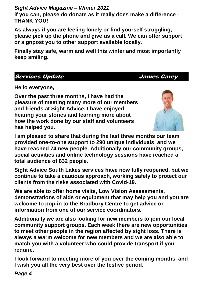**if you can, please do donate as it really does make a difference - THANK YOU!**

**As always if you are feeling lonely or find yourself struggling, please pick up the phone and give us a call. We can offer support or signpost you to other support available locally.** 

**Finally stay safe, warm and well this winter and most importantly keep smiling.**

#### Services Update **James** Carey

**Hello everyone,**

**Over the past three months, I have had the pleasure of meeting many more of our members and friends at Sight Advice. I have enjoyed hearing your stories and learning more about how the work done by our staff and volunteers has helped you.**



**I am pleased to share that during the last three months our team provided one-to-one support to 290 unique individuals, and we have reached 74 new people. Additionally our community groups, social activities and online technology sessions have reached a total audience of 832 people.**

**Sight Advice South Lakes services have now fully reopened, but we continue to take a cautious approach, working safely to protect our clients from the risks associated with Covid-19.**

**We are able to offer home visits, Low Vision Assessments, demonstrations of aids or equipment that may help you and you are welcome to pop-in to the Bradbury Centre to get advice or information from one of our service coordinators.**

**Additionally we are also looking for new members to join our local community support groups. Each week there are new opportunities to meet other people in the region affected by sight loss. There is always a warm welcome for new members and we are also able to match you with a volunteer who could provide transport if you require.**

**I look forward to meeting more of you over the coming months, and I wish you all the very best over the festive period.**

*Page 4*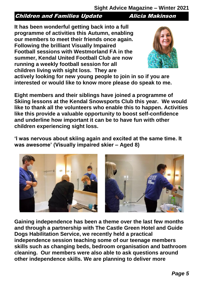### **Children and Families Update 5 and Alicia Makinson**

**It has been wonderful getting back into a full programme of activities this Autumn, enabling our members to meet their friends once again. Following the brilliant Visually Impaired Football sessions with Westmorland FA in the summer, Kendal United Football Club are now running a weekly football session for all children living with sight loss. They are** 



**actively looking for new young people to join in so if you are interested or would like to know more please do speak to me.** 

**Eight members and their siblings have joined a programme of Skiing lessons at the Kendal Snowsports Club this year. We would like to thank all the volunteers who enable this to happen. Activities like this provide a valuable opportunity to boost self-confidence and underline how important it can be to have fun with other children experiencing sight loss.**

**'I was nervous about skiing again and excited at the same time. It was awesome' (Visually impaired skier – Aged 8)**



**Gaining independence has been a theme over the last few months and through a partnership with The Castle Green Hotel and Guide Dogs Habilitation Service, we recently held a practical independence session teaching some of our teenage members skills such as changing beds, bedroom organisation and bathroom cleaning. Our members were also able to ask questions around other independence skills. We are planning to deliver more**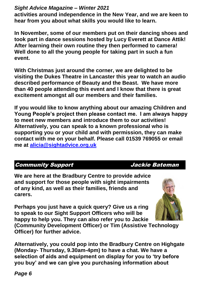**activities around independence in the New Year, and we are keen to hear from you about what skills you would like to learn.**

**In November, some of our members put on their dancing shoes and took part in dance sessions hosted by Lucy Everett at Dance Attik! After learning their own routine they then performed to camera! Well done to all the young people for taking part in such a fun event.**

**With Christmas just around the corner, we are delighted to be visiting the Dukes Theatre in Lancaster this year to watch an audio described performance of Beauty and the Beast. We have more than 40 people attending this event and I know that there is great excitement amongst all our members and their families.** 

**If you would like to know anything about our amazing Children and Young People's project then please contact me. I am always happy to meet new members and introduce them to our activities! Alternatively, you can speak to a known professional who is supporting you or your child and with permission, they can make contact with me on your behalf. Please call 01539 769055 or email me at [alicia@sightadvice.org.uk](mailto:alicia@sightadvice.org.uk)**

### Community Support Jackie Bateman

We are here at the Bradbury Centre to provide advice **and support for those people with sight impairments of any kind, as well as their families, friends and carers.** 

**Perhaps you just have a quick query? Give us a ring to speak to our Sight Support Officers who will be happy to help you. They can also refer you to Jackie** 



**(Community Development Officer) or Tim (Assistive Technology Officer) for further advice.** 

**Alternatively, you could pop into the Bradbury Centre on Highgate (Monday- Thursday, 9.30am-4pm) to have a chat. We have a selection of aids and equipment on display for you to 'try before you buy' and we can give you purchasing information about**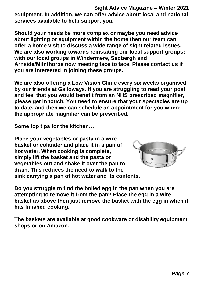**Sight Advice Magazine – Winter 2021 equipment. In addition, we can offer advice about local and national services available to help support you.** 

**Should your needs be more complex or maybe you need advice about lighting or equipment within the home then our team can offer a home visit to discuss a wide range of sight related issues. We are also working towards reinstating our local support groups; with our local groups in Windermere, Sedbergh and Arnside/Milnthorpe now meeting face to face. Please contact us if you are interested in joining these groups.**

**We are also offering a Low Vision Clinic every six weeks organised by our friends at Galloways. If you are struggling to read your post and feel that you would benefit from an NHS prescribed magnifier, please get in touch. You need to ensure that your spectacles are up to date, and then we can schedule an appointment for you where the appropriate magnifier can be prescribed.** 

**Some top tips for the kitchen…**

**Place your vegetables or pasta in a wire basket or colander and place it in a pan of hot water. When cooking is complete, simply lift the basket and the pasta or vegetables out and shake it over the pan to drain. This reduces the need to walk to the sink carrying a pan of hot water and its contents.** 



**Do you struggle to find the boiled egg in the pan when you are attempting to remove it from the pan? Place the egg in a wire basket as above then just remove the basket with the egg in when it has finished cooking.** 

**The baskets are available at good cookware or disability equipment shops or on Amazon.**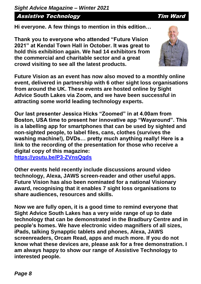Assistive Technology **Tim Ward** 

**Hi everyone. A few things to mention in this edition…**

**Thank you to everyone who attended "Future Vision 2021" at Kendal Town Hall in October. It was great to hold this exhibition again. We had 14 exhibitors from the commercial and charitable sector and a great crowd visiting to see all the latest products.**

**Future Vision as an event has now also moved to a monthly online event, delivered in partnership with 6 other sight loss organisations from around the UK. These events are hosted online by Sight Advice South Lakes via Zoom, and we have been successful in attracting some world leading technology experts.** 

**Our last presenter Jessica Hicks "Zoomed" in at 4.00am from Boston, USA time to present her innovative app "Wayaround". This is a labelling app for smartphones that can be used by sighted and non-sighted people, to label files, cans, clothes (survives the washing machine!), DVDs… pretty much anything really! Here is a link to the recording of the presentation for those who receive a digital copy of this magazine:**

**<https://youtu.be/P3-ZVnsQgds>**

**Other events held recently include discussions around video technology, Alexa, JAWS screen-reader and other useful apps. Future Vision has also been nominated for a national Visionary award, recognising that it enables 7 sight loss organisations to share audiences, resources and skills.**

**Now we are fully open, it is a good time to remind everyone that Sight Advice South Lakes has a very wide range of up to date technology that can be demonstrated in the Bradbury Centre and in people's homes. We have electronic video magnifiers of all sizes, iPads, talking Synapptic tablets and phones, Alexa, JAWS screenreaders, Orcam Read, apps and much more. If you do not know what these devices are, please ask for a free demonstration. I am always happy to show our range of Assistive Technology to interested people.**



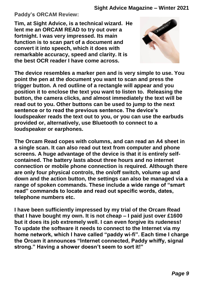**Paddy's ORCAM Review:**

**Tim, at Sight Advice, is a technical wizard. He lent me an ORCAM READ to try out over a fortnight. I was very impressed. Its main function is to scan part of a document and convert it into speech, which it does with remarkable accuracy, speed and clarity. It is the best OCR reader I have come across.**



**The device resembles a marker pen and is very simple to use. You point the pen at the document you want to scan and press the trigger button. A red outline of a rectangle will appear and you position it to enclose the text you want to listen to. Releasing the button, the camera clicks, and almost immediately the text will be read out to you. Other buttons can be used to jump to the next sentence or to read the previous sentence. The device's loudspeaker reads the text out to you, or you can use the earbuds provided or, alternatively, use Bluetooth to connect to a loudspeaker or earphones.**

**The Orcam Read copes with columns, and can read an A4 sheet in a single scan. It can also read out text from computer and phone screens. A huge advantage of the device is that it is entirely selfcontained. The battery lasts about three hours and no internet connection or mobile phone connection is required. Although there are only four physical controls, the on/off switch, volume up and down and the action button, the settings can also be managed via a range of spoken commands. These include a wide range of "smart read" commands to locate and read out specific words, dates, telephone numbers etc.**

**I have been sufficiently impressed by my trial of the Orcam Read that I have bought my own. It is not cheap – I paid just over £1600 but it does its job extremely well. I can even forgive its rudeness! To update the software it needs to connect to the Internet via my home network, which I have called "paddy wi-fi". Each time I charge the Orcam it announces "Internet connected, Paddy whiffy, signal strong." Having a shower doesn't seem to sort it!"**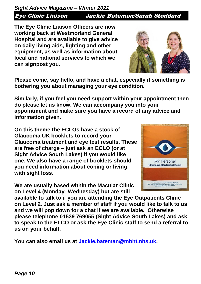*Sight Advice Magazine – Winter 2021* Eye Clinic Liaison Jackie Bateman/Sarah Stoddard

**The Eye Clinic Liaison Officers are now working back at Westmorland General Hospital and are available to give advice on daily living aids, lighting and other equipment, as well as information about local and national services to which we can signpost you.** 

**Please come, say hello, and have a chat, especially if something is bothering you about managing your eye condition.** 

**Similarly, if you feel you need support within your appointment then do please let us know. We can accompany you into your appointment and make sure you have a record of any advice and information given.**

**On this theme the ECLOs have a stock of Glaucoma UK booklets to record your Glaucoma treatment and eye test results. These are free of charge – just ask an ECLO (or at Sight Advice South Lakes) if you would like one. We also have a range of booklets should you need information about coping or living with sight loss.** 

**We are usually based within the Macular Clinic on Level 4 (Monday- Wednesday) but are still** 

**available to talk to if you are attending the Eye Outpatients Clinic on Level 2. Just ask a member of staff if you would like to talk to us and we will pop down for a chat if we are available. Otherwise please telephone 01539 769055 (Sight Advice South Lakes) and ask to speak to the ELCO or ask the Eye Clinic staff to send a referral to us on your behalf.** 

**You can also email us at [Jackie.bateman@mbht.nhs.uk.](mailto:Jackie.bateman@mbht.nhs.uk)**



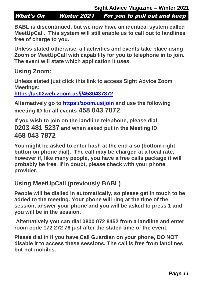What's On Winter 2021 For you to pull out and keep

**BABL is discontinued, but we now have an identical system called MeetUpCall. This system will still enable us to call out to landlines free of charge to you.**

**Unless stated otherwise, all activities and events take place using Zoom or MeetUpCall with capability for you to telephone in to join. The event will state which application it uses.**

**Using Zoom:**

**Unless stated just click this link to access Sight Advice Zoom Meetings:**

**<https://us02web.zoom.us/j/4580437872>**

**Alternatively go to<https://zoom.us/join> and use the following meeting ID for all events 458 043 7872**

**If you wish to join on the landline telephone, please dial: 0203 481 5237 and when asked put in the Meeting ID 458 043 7872**

**You might be asked to enter hash at the end also (bottom right button on phone dial). The call may be charged at a local rate, however if, like many people, you have a free calls package it will probably be free. If in doubt, please check with your phone provider.**

# **Using MeetUpCall (previously BABL)**

**People will be dialled in automatically, so please get in touch to be added to the meeting. Your phone will ring at the time of the session, answer your phone and you will be asked to press 1 and you will be in the session.**

**Alternatively you can dial 0800 072 8452 from a landline and enter room code 172 272 76 just after the stated time of the event.**

**Please dial in if you have Call Guardian on your phone, DO NOT disable it to access these sessions. The call is free from landlines but not mobiles.**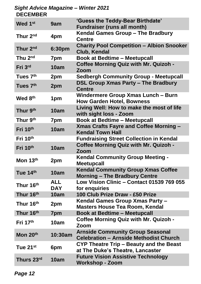#### *Sight Advice Magazine – Winter 2021* **DECEMBER**

| Wed 1st               | 9am                      | 'Guess the Teddy-Bear Birthdate'<br><b>Fundraiser (runs all month)</b>                   |
|-----------------------|--------------------------|------------------------------------------------------------------------------------------|
| Thur 2 <sup>nd</sup>  | 4pm                      | Kendal Games Group - The Bradbury<br><b>Centre</b>                                       |
| Thur 2 <sup>nd</sup>  | 6:30pm                   | <b>Charity Pool Competition - Albion Snooker</b><br>Club, Kendal                         |
| Thu 2 <sup>nd</sup>   | 7pm                      | <b>Book at Bedtime - Meetupcall</b>                                                      |
| Fri 3rd               | 10am                     | <b>Coffee Morning Quiz with Mr. Quizoh -</b><br>Zoom                                     |
| Tues 7 <sup>th</sup>  | 2pm                      | <b>Sedbergh Community Group - Meetupcall</b>                                             |
| Tues 7 <sup>th</sup>  | 2pm                      | <b>DSL Group Xmas Party - The Bradbury</b><br><b>Centre</b>                              |
| Wed 8 <sup>th</sup>   | 1pm                      | Windermere Group Xmas Lunch – Burn<br><b>How Garden Hotel, Bowness</b>                   |
| Thur 9 <sup>th</sup>  | 10am                     | Living Well: How to make the most of life<br>with sight loss - Zoom                      |
| Thur 9 <sup>th</sup>  | 7pm                      | <b>Book at Bedtime - Meetupcall</b>                                                      |
| Fri 10th              | 10am                     | <b>Xmas Crafts Fayre and Coffee Morning -</b><br><b>Kendal Town Hall</b>                 |
| Fri 10th              |                          | <b>Fundraising Street Collection in Kendal</b>                                           |
| Fri 10th              | 10am                     | <b>Coffee Morning Quiz with Mr. Quizoh -</b><br>Zoom                                     |
| Mon $13th$            | 2pm                      | <b>Kendal Community Group Meeting -</b><br><b>Meetupcall</b>                             |
| Tue $14th$            | 10am                     | <b>Kendal Community Group Xmas Coffee</b><br><b>Morning – The Bradbury Centre</b>        |
| Thur 16th             | <b>ALL</b><br><b>DAY</b> | Low Vision Clinic - Contact 01539 769 055<br>for enquiries                               |
| Thur 16th             | 10am                     | 100 Club Prize Draw - £50 Prize                                                          |
| Thur 16th             | 2pm                      | Kendal Games Group Xmas Party -<br><b>Masters House Tea Room, Kendal</b>                 |
| Thur 16 <sup>th</sup> | 7pm                      | <b>Book at Bedtime - Meetupcall</b>                                                      |
| Fri 17th              | 10am                     | <b>Coffee Morning Quiz with Mr. Quizoh -</b><br>Zoom                                     |
| Mon 20th              | 10:30am                  | <b>Arnside Community Group Seasonal</b><br><b>Celebration - Arnside Methodist Church</b> |
| Tue 21 $st$           | 6pm                      | CYP Theatre Trip – Beauty and the Beast<br>at The Duke's Theatre, Lancaster              |
| Thurs 23rd            | 10am                     | <b>Future Vision Assistive Technology</b><br><b>Workshop - Zoom</b>                      |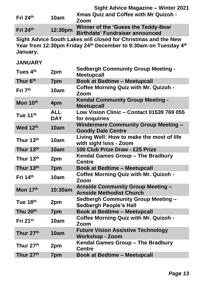**Sight Advice Magazine – Winter 2021 Fri 24th 10am Xmas Quiz and Coffee with Mr Quizoh - Zoom Fri 24th 12:30pm Winner of the 'Guess the Teddy-Bear Birthdate' Fundraiser announced**

**Sight Advice South Lakes will closed for Christmas and the New Year from 12:30pm Friday 24th December to 9:30am on Tuesday 4th January.**

#### **JANUARY**

| Tues 4 <sup>th</sup> | 2pm                      | <b>Sedbergh Community Group Meeting -</b><br><b>Meetupcall</b>              |
|----------------------|--------------------------|-----------------------------------------------------------------------------|
| Thur 6th             | 7pm                      | <b>Book at Bedtime - Meetupcall</b>                                         |
| Fri 7 <sup>th</sup>  | 10am                     | <b>Coffee Morning Quiz with Mr. Quizoh -</b><br>Zoom                        |
| Mon 10th             | 4pm                      | <b>Kendal Community Group Meeting -</b><br><b>Meetupcall</b>                |
| Tue 11th             | <b>ALL</b><br><b>DAY</b> | Low Vision Clinic - Contact 01539 769 055<br>for enquiries                  |
| Wed 12th             | 10am                     | <b>Windermere Community Group Meeting -</b><br><b>Goodly Dale Centre</b>    |
| Thur 13th            | 10am                     | Living Well: How to make the most of life<br>with sight loss - Zoom         |
| Thur 13th            | 10am                     | 100 Club Prize Draw - £25 Prize                                             |
| Thur 13th            | 2pm                      | Kendal Games Group - The Bradbury<br><b>Centre</b>                          |
| Thur 13th            | 7pm                      | <b>Book at Bedtime - Meetupcall</b>                                         |
| Fri 14th             | 10am                     | <b>Coffee Morning Quiz with Mr. Quizoh -</b><br>Zoom                        |
| Mon 17th             | 10:30am                  | <b>Arnside Community Group Meeting -</b><br><b>Arnside Methodist Church</b> |
| Tue 18th             | 2pm                      | <b>Sedbergh Community Group Meeting -</b><br><b>Sedbergh People's Hall</b>  |
| Thu 20 <sup>th</sup> | 7pm                      | <b>Book at Bedtime - Meetupcall</b>                                         |
| Fri $21^{st}$        | 10am                     | <b>Coffee Morning Quiz with Mr. Quizoh -</b><br>Zoom                        |
| Thur 27th            | 10am                     | <b>Future Vision Assistive Technology</b><br><b>Workshop - Zoom</b>         |
| Thur 27th            | 2pm                      | Kendal Games Group – The Bradbury<br><b>Centre</b>                          |
| Thur 27th            | 7pm                      | <b>Book at Bedtime - Meetupcall</b>                                         |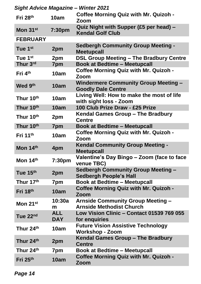| <b>Sight Advice Magazine - Winter 2021</b> |                          |                                                                             |  |  |
|--------------------------------------------|--------------------------|-----------------------------------------------------------------------------|--|--|
| Fri 28th                                   | 10am                     | <b>Coffee Morning Quiz with Mr. Quizoh -</b><br>Zoom                        |  |  |
| Mon 31 <sup>st</sup>                       | 7:30pm                   | Quiz Night with Supper (£5 per head) –<br><b>Kendal Golf Club</b>           |  |  |
| <b>FEBRUARY</b>                            |                          |                                                                             |  |  |
| Tue 1 <sup>st</sup>                        | 2pm                      | <b>Sedbergh Community Group Meeting -</b><br><b>Meetupcall</b>              |  |  |
| Tue 1 <sup>st</sup>                        | 2pm                      | <b>DSL Group Meeting - The Bradbury Centre</b>                              |  |  |
| Thur 3rd                                   | 7pm                      | <b>Book at Bedtime - Meetupcall</b>                                         |  |  |
| Fri 4 <sup>th</sup>                        | 10am                     | <b>Coffee Morning Quiz with Mr. Quizoh -</b><br>Zoom                        |  |  |
| Wed 9th                                    | 10am                     | <b>Windermere Community Group Meeting -</b><br><b>Goodly Dale Centre</b>    |  |  |
| Thur 10th                                  | 10am                     | Living Well: How to make the most of life<br>with sight loss - Zoom         |  |  |
| Thur 10th                                  | 10am                     | 100 Club Prize Draw - £25 Prize                                             |  |  |
| Thur 10th                                  | 2pm                      | Kendal Games Group – The Bradbury<br><b>Centre</b>                          |  |  |
| Thur 10th                                  | 7pm                      | <b>Book at Bedtime - Meetupcall</b>                                         |  |  |
| Fri $11th$                                 | 10am                     | <b>Coffee Morning Quiz with Mr. Quizoh -</b><br>Zoom                        |  |  |
| Mon 14th                                   | 4pm                      | <b>Kendal Community Group Meeting -</b><br><b>Meetupcall</b>                |  |  |
| Mon 14th                                   | 7:30pm                   | Valentine's Day Bingo - Zoom (face to face<br>venue TBC)                    |  |  |
| Tue 15th                                   | 2pm                      | <b>Sedbergh Community Group Meeting -</b><br><b>Sedbergh People's Hall</b>  |  |  |
| Thur 17th                                  | 7pm                      | <b>Book at Bedtime - Meetupcall</b>                                         |  |  |
| Fri 18th                                   | 10am                     | <b>Coffee Morning Quiz with Mr. Quizoh -</b><br>Zoom                        |  |  |
| Mon 21st                                   | 10:30a<br>m              | <b>Arnside Community Group Meeting -</b><br><b>Arnside Methodist Church</b> |  |  |
| Tue 22nd                                   | <b>ALL</b><br><b>DAY</b> | Low Vision Clinic - Contact 01539 769 055<br>for enquiries                  |  |  |
| Thur 24th                                  | 10am                     | <b>Future Vision Assistive Technology</b><br><b>Workshop - Zoom</b>         |  |  |
| Thur 24th                                  | 2pm                      | Kendal Games Group - The Bradbury<br><b>Centre</b>                          |  |  |
| Thur 24th                                  | 7pm                      | <b>Book at Bedtime - Meetupcall</b>                                         |  |  |
| Fri $25th$                                 | 10am                     | <b>Coffee Morning Quiz with Mr. Quizoh -</b><br>Zoom                        |  |  |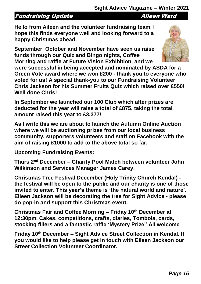## Fundraising Update **Aileen Ward**

**Hello from Aileen and the volunteer fundraising team. I hope this finds everyone well and looking forward to a happy Christmas ahead.**

**September, October and November have seen us raise funds through our Quiz and Bingo nights, Coffee Morning and raffle at Future Vision Exhibition, and we** 

**were successful in being accepted and nominated by ASDA for a Green Vote award where we won £200 - thank you to everyone who voted for us! A special thank-you to our Fundraising Volunteer Chris Jackson for his Summer Fruits Quiz which raised over £550! Well done Chris!**

**In September we launched our 100 Club which after prizes are deducted for the year will raise a total of £875, taking the total amount raised this year to £3,377!**

**As I write this we are about to launch the Autumn Online Auction where we will be auctioning prizes from our local business community, supporters volunteers and staff on Facebook with the aim of raising £1000 to add to the above total so far.** 

**Upcoming Fundraising Events:**

**Thurs 2nd December – Charity Pool Match between volunteer John Wilkinson and Services Manager James Carey.**

**Christmas Tree Festival December (Holy Trinity Church Kendal) the festival will be open to the public and our charity is one of those invited to enter. This year's theme is 'the natural world and nature'. Eileen Jackson will be decorating the tree for Sight Advice - please do pop-in and support this Christmas event.**

**Christmas Fair and Coffee Morning – Friday 10th December at 12:30pm. Cakes, competitions, crafts, diaries, Tombola, cards, stocking fillers and a fantastic raffle 'Mystery Prize" All welcome** 

**Friday 10th December – Sight Advice Street Collection in Kendal. If you would like to help please get in touch with Eileen Jackson our Street Collection Volunteer Coordinator.**

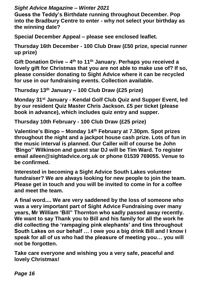**Guess the Teddy's Birthdate running throughout December. Pop into the Bradbury Centre to enter - why not select your birthday as the winning date?**

**Special December Appeal – please see enclosed leaflet.**

**Thursday 16th December - 100 Club Draw (£50 prize, special runner up prize)**

**Gift Donation Drive – 4 th to 11th January. Perhaps you received a lovely gift for Christmas that you are not able to make use of? If so, please consider donating to Sight Advice where it can be recycled for use in our fundraising events. Collection available.**

**Thursday 13th January – 100 Club Draw (£25 prize)**

**Monday 31st January - Kendal Golf Club Quiz and Supper Event, led by our resident Quiz Master Chris Jackson. £5 per ticket (please book in advance), which includes quiz entry and supper.** 

**Thursday 10th February - 100 Club Draw (£25 prize)**

**Valentine's Bingo – Monday 14th February at 7.30pm. Spot prizes throughout the night and a jackpot house cash prize. Lots of fun in the music interval is planned. Our Caller will of course be John 'Bingo" Wilkinson and guest star DJ will be Tim Ward. To register email aileen@sightadvice.org.uk or phone 01539 769055. Venue to be confirmed.**

**Interested in becoming a Sight Advice South Lakes volunteer fundraiser? We are always looking for new people to join the team. Please get in touch and you will be invited to come in for a coffee and meet the team.** 

**A final word.... We are very saddened by the loss of someone who was a very important part of Sight Advice Fundraising over many years, Mr William 'Bill" Thornton who sadly passed away recently. We want to say Thank you to Bill and his family for all the work he did collecting the 'rampaging pink elephants' and tins throughout South Lakes on our behalf … I owe you a big drink Bill and I know I speak for all of us who had the pleasure of meeting you… you will not be forgotten.** 

**Take care everyone and wishing you a very safe, peaceful and lovely Christmas!**

*Page 16*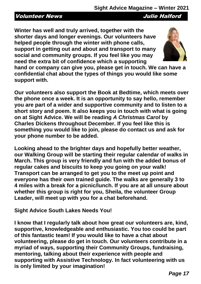#### Volunteer News Julie Halford

**Winter has well and truly arrived, together with the shorter days and longer evenings. Our volunteers have helped people through the winter with phone calls, support in getting out and about and transport to many social and community groups. If you feel like you may need the extra bit of confidence which a supporting** 

**hand or company can give you, please get in touch. We can have a** 

**confidential chat about the types of things you would like some support with.** 

**Our volunteers also support the Book at Bedtime, which meets over the phone once a week. It is an opportunity to say hello, remember you are part of a wider and supportive community and to listen to a short story and poem. It also keeps you in touch with what is going on at Sight Advice. We will be reading** *A Christmas Carol* **by Charles Dickens throughout December. If you feel like this is something you would like to join, please do contact us and ask for your phone number to be added.**

**Looking ahead to the brighter days and hopefully better weather, our Walking Group will be starting their regular calendar of walks in March. This group is very friendly and fun with the added bonus of regular cakes and biscuits to keep you going on your walk! Transport can be arranged to get you to the meet up point and everyone has their own trained guide. The walks are generally 3 to 4 miles with a break for a picnic/lunch. If you are at all unsure about whether this group is right for you, Sheila, the volunteer Group Leader, will meet up with you for a chat beforehand.**

#### **Sight Advice South Lakes Needs You!**

**I know that I regularly talk about how great our volunteers are, kind, supportive, knowledgeable and enthusiastic. You too could be part of this fantastic team! If you would like to have a chat about volunteering, please do get in touch. Our volunteers contribute in a myriad of ways, supporting their Community Groups, fundraising, mentoring, talking about their experience with people and supporting with Assistive Technology. In fact volunteering with us is only limited by your imagination!**

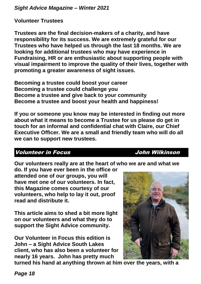**Volunteer Trustees**

**Trustees are the final decision-makers of a charity, and have responsibility for its success. We are extremely grateful for our Trustees who have helped us through the last 18 months. We are looking for additional trustees who may have experience in Fundraising, HR or are enthusiastic about supporting people with visual impairment to improve the quality of their lives, together with promoting a greater awareness of sight issues.** 

**Becoming a trustee could boost your career Becoming a trustee could challenge you Become a trustee and give back to your community Become a trustee and boost your health and happiness!**

**If you or someone you know may be interested in finding out more about what it means to become a Trustee for us please do get in touch for an informal and confidential chat with Claire, our Chief Executive Officer. We are a small and friendly team who will do all we can to support new trustees.**

#### Volunteer in Focus John Wilkinson

Our volunteers really are at the heart of who we are and what we

**do. If you have ever been in the office or attended one of our groups, you will have met one of our volunteers. In fact, this Magazine comes courtesy of our volunteers, who help to lay it out, proof read and distribute it.** 

**This article aims to shed a bit more light on our volunteers and what they do to support the Sight Advice community.**

**Our Volunteer in Focus this edition is John – a Sight Advice South Lakes client, who has also been a volunteer for nearly 16 years. John has pretty much** 



**turned his hand at anything thrown at him over the years, with a**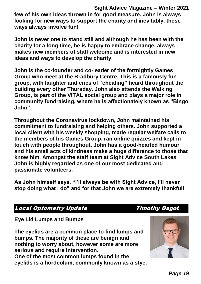**Sight Advice Magazine – Winter 2021 few of his own ideas thrown in for good measure. John is always looking for new ways to support the charity and inevitably, these ways always involve fun!** 

**John is never one to stand still and although he has been with the charity for a long time, he is happy to embrace change, always makes new members of staff welcome and is interested in new ideas and ways to develop the charity.** 

**John is the co-founder and co-leader of the fortnightly Games Group who meet at the Bradbury Centre. This is a famously fun group, with laughter and cries of "cheating" heard throughout the building every other Thursday. John also attends the Walking Group, is part of the VITAL social group and plays a major role in community fundraising, where he is affectionately known as "Bingo John".** 

**Throughout the Coronavirus lockdown, John maintained his commitment to fundraising and helping others. John supported a local client with his weekly shopping, made regular welfare calls to the members of his Games Group, ran online quizzes and kept in touch with people throughout. John has a good-hearted humour and his small acts of kindness make a huge difference to those that know him. Amongst the staff team at Sight Advice South Lakes John is highly regarded as one of our most dedicated and passionate volunteers.**

**As John himself says, "I'll always be with Sight Advice, I'll never stop doing what I do" and for that John we are extremely thankful!**

### Local Optometry Update Timothy Bagot

**Eye Lid Lumps and Bumps**

**The eyelids are a common place to find lumps and bumps. The majority of these are benign and nothing to worry about, however some are more serious and require intervention. One of the most common lumps found in the eyelids is a hordeolum, commonly known as a stye.** 

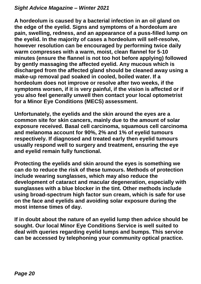**A hordeolum is caused by a bacterial infection in an oil gland on the edge of the eyelid. Signs and symptoms of a hordeolum are pain, swelling, redness, and an appearance of a puss-filled lump on the eyelid. In the majority of cases a hordeolum will self-resolve, however resolution can be encouraged by performing twice daily warm compresses with a warm, moist, clean flannel for 5-10 minutes (ensure the flannel is not too hot before applying) followed by gently massaging the affected eyelid. Any mucous which is discharged from the affected gland should be cleaned away using a make-up removal pad soaked in cooled, boiled water. If a hordeolum does not improve or resolve after two weeks, if the symptoms worsen, if it is very painful, if the vision is affected or if you also feel generally unwell then contact your local optometrist for a Minor Eye Conditions (MECS) assessment.**

**Unfortunately, the eyelids and the skin around the eyes are a common site for skin cancers, mainly due to the amount of solar exposure received. Basal cell carcinoma, squamous cell carcinoma and melanoma account for 90%, 2% and 1% of eyelid tumours respectively. If diagnosed and treated early then eyelid tumours usually respond well to surgery and treatment, ensuring the eye and eyelid remain fully functional.**

**Protecting the eyelids and skin around the eyes is something we can do to reduce the risk of these tumours. Methods of protection include wearing sunglasses, which may also reduce the development of cataract and macular degeneration, especially with sunglasses with a blue blocker in the tint. Other methods include using broad-spectrum high factor sun cream, which is safe for use on the face and eyelids and avoiding solar exposure during the most intense times of day.**

**If in doubt about the nature of an eyelid lump then advice should be sought. Our local Minor Eye Conditions Service is well suited to deal with queries regarding eyelid lumps and bumps. This service can be accessed by telephoning your community optical practice.**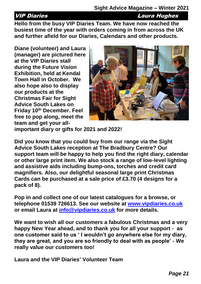VIP Diaries Laura Hughes

**Hello from the busy VIP Diaries Team. We have now reached the busiest time of the year with orders coming in from across the UK and further afield for our Diaries, Calendars and other products.**

**Diane (volunteer) and Laura (manager) are pictured here at the VIP Diaries stall during the Future Vision Exhibition, held at Kendal Town Hall in October. We also hope also to display our products at the Christmas Fair for Sight Advice South Lakes on Friday 10th December. Feel free to pop along, meet the team and get your all-**



**important diary or gifts for 2021 and 2022!** 

**Did you know that you could buy from our range via the Sight Advice South Lakes reception at The Bradbury Centre? Our support team will be happy to help you find the right diary, calendar or other large print item. We also stock a range of low-level lighting and assistive aids including bump-ons, torches and credit card magnifiers. Also, our delightful seasonal large print Christmas Cards can be purchased at a sale price of £3.70 (4 designs for a pack of 8).**

**Pop in and collect one of our latest catalogues for a browse, or telephone 01539 726613. See our website at [www.vipdiaries.co.uk](http://www.vipdiaries.co.uk/) or email Laura at [info@vipdiaries.co.uk](mailto:info@vipdiaries.co.uk) for more details.**

**We want to wish all our customers a fabulous Christmas and a very happy New Year ahead, and to thank you for all your support - as one customer said to us ' I wouldn't go anywhere else for my diary, they are great, and you are so friendly to deal with as people' - We really value our customers too!**

**Laura and the VIP Diaries' Volunteer Team**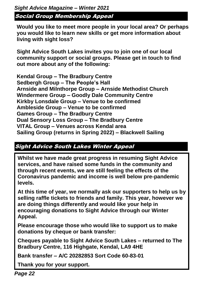*Sight Advice Magazine – Winter 2021* Social Group Membership Appeal

**Would you like to meet more people in your local area? Or perhaps you would like to learn new skills or get more information about living with sight loss?**

**Sight Advice South Lakes invites you to join one of our local community support or social groups. Please get in touch to find out more about any of the following:**

**Kendal Group – The Bradbury Centre Sedbergh Group – The People's Hall Arnside and Milnthorpe Group – Arnside Methodist Church Windermere Group – Goodly Dale Community Centre Kirkby Lonsdale Group – Venue to be confirmed Ambleside Group – Venue to be confirmed Games Group – The Bradbury Centre Dual Sensory Loss Group – The Bradbury Centre VITAL Group – Venues across Kendal area Sailing Group (returns in Spring 2022) – Blackwell Sailing**

#### Sight Advice South Lakes Winter Appeal

**Whilst we have made great progress in resuming Sight Advice services, and have raised some funds in the community and through recent events, we are still feeling the effects of the Coronavirus pandemic and income is well below pre-pandemic levels.**

**At this time of year, we normally ask our supporters to help us by selling raffle tickets to friends and family. This year, however we are doing things differently and would like your help in encouraging donations to Sight Advice through our Winter Appeal.**

**Please encourage those who would like to support us to make donations by cheque or bank transfer:**

**Cheques payable to Sight Advice South Lakes – returned to The Bradbury Centre, 116 Highgate, Kendal, LA9 4HE**

**Bank transfer – A/C 20282853 Sort Code 60-83-01**

**Thank you for your support.**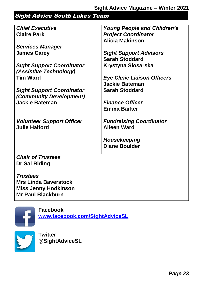# Sight Advice South Lakes Team

| <b>Chief Executive</b>           | <b>Young People and Children's</b> |
|----------------------------------|------------------------------------|
| <b>Claire Park</b>               | <b>Project Coordinator</b>         |
|                                  | Alicia Makinson                    |
| <b>Services Manager</b>          |                                    |
| <b>James Carey</b>               | <b>Sight Support Advisors</b>      |
|                                  | <b>Sarah Stoddard</b>              |
| <b>Sight Support Coordinator</b> | <b>Krystyna Slosarska</b>          |
| (Assistive Technology)           |                                    |
| <b>Tim Ward</b>                  | <b>Eye Clinic Liaison Officers</b> |
|                                  | <b>Jackie Bateman</b>              |
| <b>Sight Support Coordinator</b> | <b>Sarah Stoddard</b>              |
| (Community Development)          |                                    |
| <b>Jackie Bateman</b>            | <b>Finance Officer</b>             |
|                                  | <b>Emma Barker</b>                 |
|                                  |                                    |
| <b>Volunteer Support Officer</b> | <b>Fundraising Coordinator</b>     |
| <b>Julie Halford</b>             | <b>Aileen Ward</b>                 |
|                                  |                                    |
|                                  | Housekeeping                       |
|                                  | <b>Diane Boulder</b>               |
|                                  |                                    |
| <b>Chair of Trustees</b>         |                                    |
| <b>Dr Sal Riding</b>             |                                    |
|                                  |                                    |
| <b>Trustees</b>                  |                                    |

**Mrs Linda Baverstock Miss Jenny Hodkinson Mr Paul Blackburn**



**Facebook [www.facebook.com/SightAdviceSL](http://www.facebook.com/SightAdviceSL)**

**Twitter @SightAdviceSL**